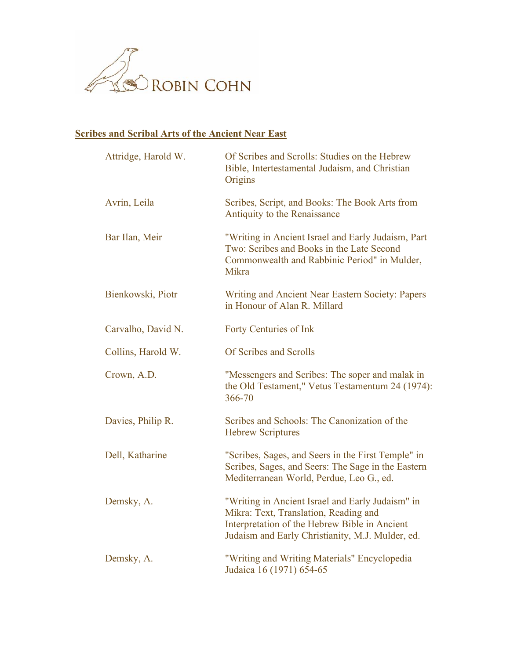

## **Scribes and Scribal Arts of the Ancient Near East**

| Attridge, Harold W. | Of Scribes and Scrolls: Studies on the Hebrew<br>Bible, Intertestamental Judaism, and Christian<br>Origins                                                                                     |
|---------------------|------------------------------------------------------------------------------------------------------------------------------------------------------------------------------------------------|
| Avrin, Leila        | Scribes, Script, and Books: The Book Arts from<br>Antiquity to the Renaissance                                                                                                                 |
| Bar Ilan, Meir      | "Writing in Ancient Israel and Early Judaism, Part<br>Two: Scribes and Books in the Late Second<br>Commonwealth and Rabbinic Period" in Mulder,<br>Mikra                                       |
| Bienkowski, Piotr   | Writing and Ancient Near Eastern Society: Papers<br>in Honour of Alan R. Millard                                                                                                               |
| Carvalho, David N.  | <b>Forty Centuries of Ink</b>                                                                                                                                                                  |
| Collins, Harold W.  | Of Scribes and Scrolls                                                                                                                                                                         |
| Crown, A.D.         | "Messengers and Scribes: The soper and malak in<br>the Old Testament," Vetus Testamentum 24 (1974):<br>366-70                                                                                  |
| Davies, Philip R.   | Scribes and Schools: The Canonization of the<br><b>Hebrew Scriptures</b>                                                                                                                       |
| Dell, Katharine     | "Scribes, Sages, and Seers in the First Temple" in<br>Scribes, Sages, and Seers: The Sage in the Eastern<br>Mediterranean World, Perdue, Leo G., ed.                                           |
| Demsky, A.          | "Writing in Ancient Israel and Early Judaism" in<br>Mikra: Text, Translation, Reading and<br>Interpretation of the Hebrew Bible in Ancient<br>Judaism and Early Christianity, M.J. Mulder, ed. |
| Demsky, A.          | "Writing and Writing Materials" Encyclopedia<br>Judaica 16 (1971) 654-65                                                                                                                       |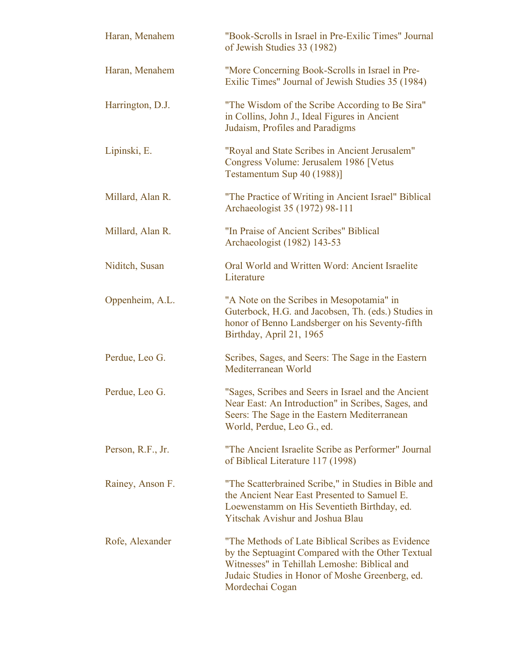| Haran, Menahem    | "Book-Scrolls in Israel in Pre-Exilic Times" Journal<br>of Jewish Studies 33 (1982)                                                                                                                                           |
|-------------------|-------------------------------------------------------------------------------------------------------------------------------------------------------------------------------------------------------------------------------|
| Haran, Menahem    | "More Concerning Book-Scrolls in Israel in Pre-<br>Exilic Times" Journal of Jewish Studies 35 (1984)                                                                                                                          |
| Harrington, D.J.  | "The Wisdom of the Scribe According to Be Sira"<br>in Collins, John J., Ideal Figures in Ancient<br>Judaism, Profiles and Paradigms                                                                                           |
| Lipinski, E.      | "Royal and State Scribes in Ancient Jerusalem"<br>Congress Volume: Jerusalem 1986 [Vetus<br>Testamentum Sup 40 (1988)]                                                                                                        |
| Millard, Alan R.  | "The Practice of Writing in Ancient Israel" Biblical<br>Archaeologist 35 (1972) 98-111                                                                                                                                        |
| Millard, Alan R.  | "In Praise of Ancient Scribes" Biblical<br>Archaeologist (1982) 143-53                                                                                                                                                        |
| Niditch, Susan    | Oral World and Written Word: Ancient Israelite<br>Literature                                                                                                                                                                  |
| Oppenheim, A.L.   | "A Note on the Scribes in Mesopotamia" in<br>Guterbock, H.G. and Jacobsen, Th. (eds.) Studies in<br>honor of Benno Landsberger on his Seventy-fifth<br>Birthday, April 21, 1965                                               |
| Perdue, Leo G.    | Scribes, Sages, and Seers: The Sage in the Eastern<br>Mediterranean World                                                                                                                                                     |
| Perdue, Leo G.    | "Sages, Scribes and Seers in Israel and the Ancient<br>Near East: An Introduction" in Scribes, Sages, and<br>Seers: The Sage in the Eastern Mediterranean<br>World, Perdue, Leo G., ed.                                       |
| Person, R.F., Jr. | "The Ancient Israelite Scribe as Performer" Journal<br>of Biblical Literature 117 (1998)                                                                                                                                      |
| Rainey, Anson F.  | "The Scatterbrained Scribe," in Studies in Bible and<br>the Ancient Near East Presented to Samuel E.<br>Loewenstamm on His Seventieth Birthday, ed.<br><b>Yitschak Avishur and Joshua Blau</b>                                |
| Rofe, Alexander   | "The Methods of Late Biblical Scribes as Evidence"<br>by the Septuagint Compared with the Other Textual<br>Witnesses" in Tehillah Lemoshe: Biblical and<br>Judaic Studies in Honor of Moshe Greenberg, ed.<br>Mordechai Cogan |